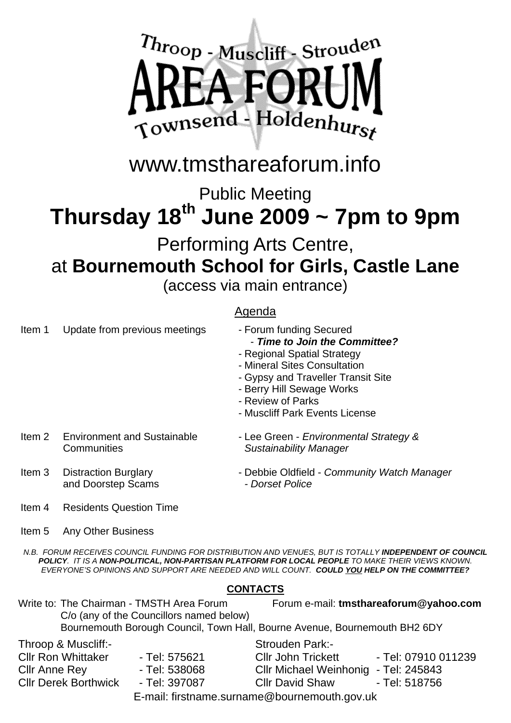

### www.tmsthareaforum.info

Public Meeting

### **Thursday 18th June 2009 ~ 7pm to 9pm**  Performing Arts Centre, at **Bournemouth School for Girls, Castle Lane**

(access via main entrance)

#### Agenda

| Item 1 | Update from previous meetings                     | - Forum funding Secured<br>- Time to Join the Committee?<br>- Regional Spatial Strategy<br>- Mineral Sites Consultation<br>- Gypsy and Traveller Transit Site<br>- Berry Hill Sewage Works<br>- Review of Parks<br>- Muscliff Park Events License |
|--------|---------------------------------------------------|---------------------------------------------------------------------------------------------------------------------------------------------------------------------------------------------------------------------------------------------------|
| Item 2 | <b>Environment and Sustainable</b><br>Communities | - Lee Green - Environmental Strategy &<br><b>Sustainability Manager</b>                                                                                                                                                                           |
| Item 3 | <b>Distraction Burglary</b><br>and Doorstep Scams | - Debbie Oldfield - Community Watch Manager<br>- Dorset Police                                                                                                                                                                                    |
| Item 4 | <b>Residents Question Time</b>                    |                                                                                                                                                                                                                                                   |
| Item 5 | Any Other Business                                |                                                                                                                                                                                                                                                   |

*N.B. FORUM RECEIVES COUNCIL FUNDING FOR DISTRIBUTION AND VENUES, BUT IS TOTALLY INDEPENDENT OF COUNCIL POLICY. IT IS A NON-POLITICAL, NON-PARTISAN PLATFORM FOR LOCAL PEOPLE TO MAKE THEIR VIEWS KNOWN. EVERYONE'S OPINIONS AND SUPPORT ARE NEEDED AND WILL COUNT. COULD YOU HELP ON THE COMMITTEE?* 

#### **CONTACTS**

Write to: The Chairman - TMSTH Area Forum Forum e-mail: **tmsthareaforum@yahoo.com**  C/o (any of the Councillors named below) Bournemouth Borough Council, Town Hall, Bourne Avenue, Bournemouth BH2 6DY

Throop & Muscliff:- Cllr Ron Whittaker - Tel: 575621 Cllr Anne Rey - Tel: 538068

Cllr Derek Borthwick - Tel: 397087

Strouden Park:-

Cllr John Trickett - Tel: 07910 011239 Cllr Michael Weinhonig - Tel: 245843 Cllr David Shaw - Tel: 518756

E-mail: firstname.surname@bournemouth.gov.uk